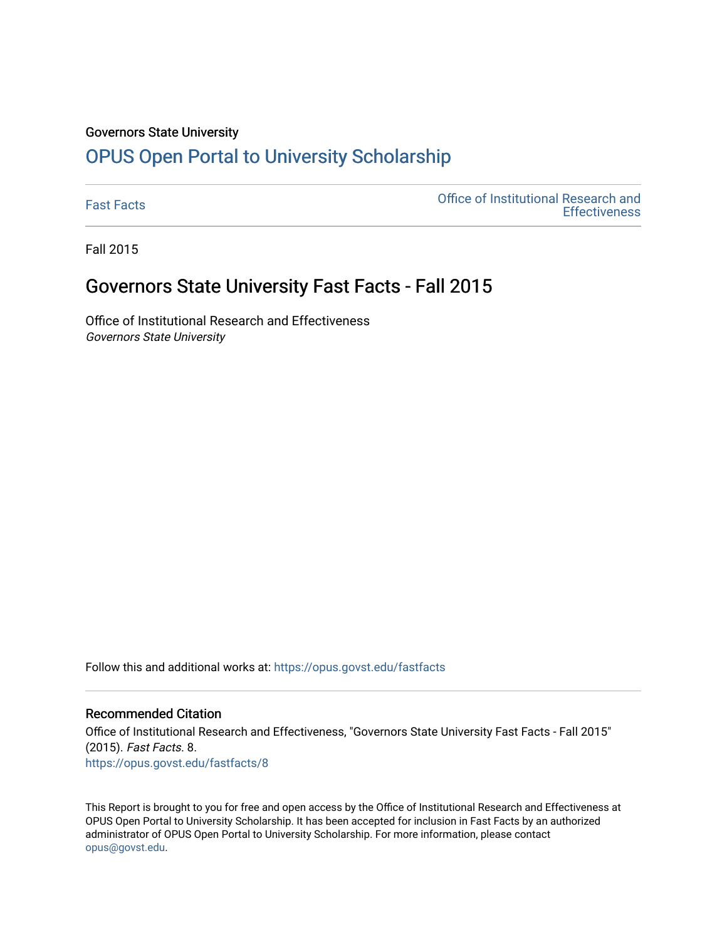#### Governors State University

# [OPUS Open Portal to University Scholarship](https://opus.govst.edu/)

[Fast Facts](https://opus.govst.edu/fastfacts) [Office of Institutional Research and](https://opus.govst.edu/ir)  **Effectiveness** 

Fall 2015

## Governors State University Fast Facts - Fall 2015

Office of Institutional Research and Effectiveness Governors State University

Follow this and additional works at: [https://opus.govst.edu/fastfacts](https://opus.govst.edu/fastfacts?utm_source=opus.govst.edu%2Ffastfacts%2F8&utm_medium=PDF&utm_campaign=PDFCoverPages)

### Recommended Citation

Office of Institutional Research and Effectiveness, "Governors State University Fast Facts - Fall 2015" (2015). Fast Facts. 8. [https://opus.govst.edu/fastfacts/8](https://opus.govst.edu/fastfacts/8?utm_source=opus.govst.edu%2Ffastfacts%2F8&utm_medium=PDF&utm_campaign=PDFCoverPages)

This Report is brought to you for free and open access by the Office of Institutional Research and Effectiveness at OPUS Open Portal to University Scholarship. It has been accepted for inclusion in Fast Facts by an authorized administrator of OPUS Open Portal to University Scholarship. For more information, please contact [opus@govst.edu](mailto:opus@govst.edu).